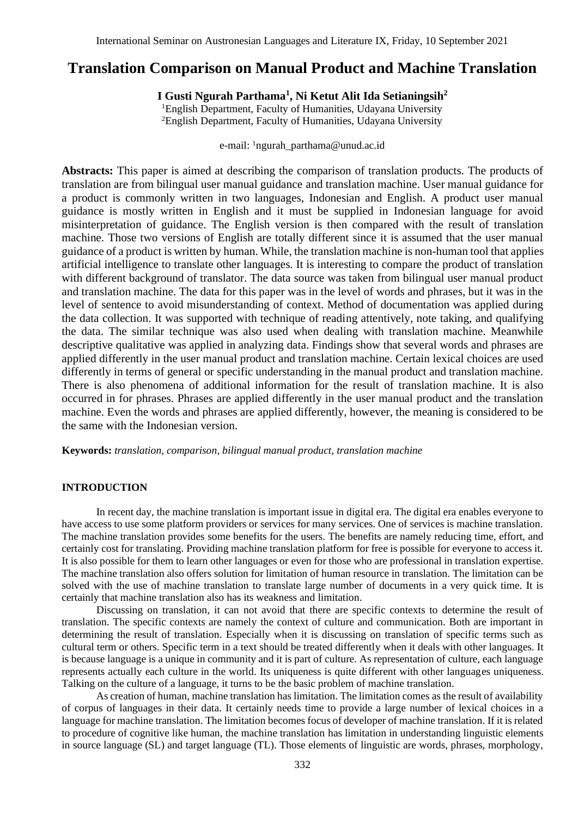# **Translation Comparison on Manual Product and Machine Translation**

**I Gusti Ngurah Parthama<sup>1</sup> , Ni Ketut Alit Ida Setianingsih<sup>2</sup>**

<sup>1</sup>English Department, Faculty of Humanities, Udayana University <sup>2</sup>English Department, Faculty of Humanities, Udayana University

e-mail: <sup>1</sup>ngurah\_parthama@unud.ac.id

**Abstracts:** This paper is aimed at describing the comparison of translation products. The products of translation are from bilingual user manual guidance and translation machine. User manual guidance for a product is commonly written in two languages, Indonesian and English. A product user manual guidance is mostly written in English and it must be supplied in Indonesian language for avoid misinterpretation of guidance. The English version is then compared with the result of translation machine. Those two versions of English are totally different since it is assumed that the user manual guidance of a product is written by human. While, the translation machine is non-human tool that applies artificial intelligence to translate other languages. It is interesting to compare the product of translation with different background of translator. The data source was taken from bilingual user manual product and translation machine. The data for this paper was in the level of words and phrases, but it was in the level of sentence to avoid misunderstanding of context. Method of documentation was applied during the data collection. It was supported with technique of reading attentively, note taking, and qualifying the data. The similar technique was also used when dealing with translation machine. Meanwhile descriptive qualitative was applied in analyzing data. Findings show that several words and phrases are applied differently in the user manual product and translation machine. Certain lexical choices are used differently in terms of general or specific understanding in the manual product and translation machine. There is also phenomena of additional information for the result of translation machine. It is also occurred in for phrases. Phrases are applied differently in the user manual product and the translation machine. Even the words and phrases are applied differently, however, the meaning is considered to be the same with the Indonesian version.

**Keywords:** *translation, comparison, bilingual manual product, translation machine*

#### **INTRODUCTION**

In recent day, the machine translation is important issue in digital era. The digital era enables everyone to have access to use some platform providers or services for many services. One of services is machine translation. The machine translation provides some benefits for the users. The benefits are namely reducing time, effort, and certainly cost for translating. Providing machine translation platform for free is possible for everyone to access it. It is also possible for them to learn other languages or even for those who are professional in translation expertise. The machine translation also offers solution for limitation of human resource in translation. The limitation can be solved with the use of machine translation to translate large number of documents in a very quick time. It is certainly that machine translation also has its weakness and limitation.

Discussing on translation, it can not avoid that there are specific contexts to determine the result of translation. The specific contexts are namely the context of culture and communication. Both are important in determining the result of translation. Especially when it is discussing on translation of specific terms such as cultural term or others. Specific term in a text should be treated differently when it deals with other languages. It is because language is a unique in community and it is part of culture. As representation of culture, each language represents actually each culture in the world. Its uniqueness is quite different with other languages uniqueness. Talking on the culture of a language, it turns to be the basic problem of machine translation.

As creation of human, machine translation has limitation. The limitation comes as the result of availability of corpus of languages in their data. It certainly needs time to provide a large number of lexical choices in a language for machine translation. The limitation becomes focus of developer of machine translation. If it is related to procedure of cognitive like human, the machine translation has limitation in understanding linguistic elements in source language (SL) and target language (TL). Those elements of linguistic are words, phrases, morphology,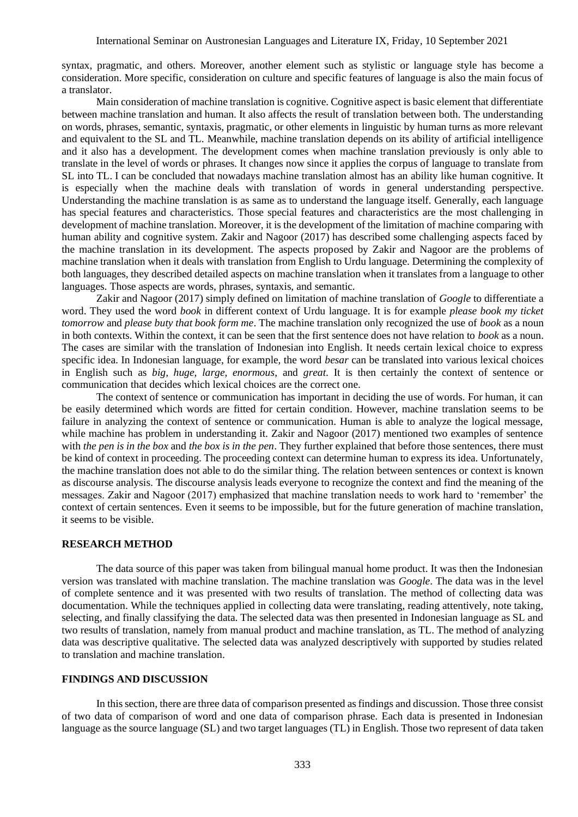syntax, pragmatic, and others. Moreover, another element such as stylistic or language style has become a consideration. More specific, consideration on culture and specific features of language is also the main focus of a translator.

Main consideration of machine translation is cognitive. Cognitive aspect is basic element that differentiate between machine translation and human. It also affects the result of translation between both. The understanding on words, phrases, semantic, syntaxis, pragmatic, or other elements in linguistic by human turns as more relevant and equivalent to the SL and TL. Meanwhile, machine translation depends on its ability of artificial intelligence and it also has a development. The development comes when machine translation previously is only able to translate in the level of words or phrases. It changes now since it applies the corpus of language to translate from SL into TL. I can be concluded that nowadays machine translation almost has an ability like human cognitive. It is especially when the machine deals with translation of words in general understanding perspective. Understanding the machine translation is as same as to understand the language itself. Generally, each language has special features and characteristics. Those special features and characteristics are the most challenging in development of machine translation. Moreover, it is the development of the limitation of machine comparing with human ability and cognitive system. Zakir and Nagoor (2017) has described some challenging aspects faced by the machine translation in its development. The aspects proposed by Zakir and Nagoor are the problems of machine translation when it deals with translation from English to Urdu language. Determining the complexity of both languages, they described detailed aspects on machine translation when it translates from a language to other languages. Those aspects are words, phrases, syntaxis, and semantic.

Zakir and Nagoor (2017) simply defined on limitation of machine translation of *Google* to differentiate a word. They used the word *book* in different context of Urdu language. It is for example *please book my ticket tomorrow* and *please buty that book form me*. The machine translation only recognized the use of *book* as a noun in both contexts. Within the context, it can be seen that the first sentence does not have relation to *book* as a noun. The cases are similar with the translation of Indonesian into English. It needs certain lexical choice to express specific idea. In Indonesian language, for example, the word *besar* can be translated into various lexical choices in English such as *big, huge, large, enormous*, and *great*. It is then certainly the context of sentence or communication that decides which lexical choices are the correct one.

The context of sentence or communication has important in deciding the use of words. For human, it can be easily determined which words are fitted for certain condition. However, machine translation seems to be failure in analyzing the context of sentence or communication. Human is able to analyze the logical message, while machine has problem in understanding it. Zakir and Nagoor (2017) mentioned two examples of sentence with *the pen is in the box* and *the box is in the pen*. They further explained that before those sentences, there must be kind of context in proceeding. The proceeding context can determine human to express its idea. Unfortunately, the machine translation does not able to do the similar thing. The relation between sentences or context is known as discourse analysis. The discourse analysis leads everyone to recognize the context and find the meaning of the messages. Zakir and Nagoor (2017) emphasized that machine translation needs to work hard to 'remember' the context of certain sentences. Even it seems to be impossible, but for the future generation of machine translation, it seems to be visible.

### **RESEARCH METHOD**

The data source of this paper was taken from bilingual manual home product. It was then the Indonesian version was translated with machine translation. The machine translation was *Google*. The data was in the level of complete sentence and it was presented with two results of translation. The method of collecting data was documentation. While the techniques applied in collecting data were translating, reading attentively, note taking, selecting, and finally classifying the data. The selected data was then presented in Indonesian language as SL and two results of translation, namely from manual product and machine translation, as TL. The method of analyzing data was descriptive qualitative. The selected data was analyzed descriptively with supported by studies related to translation and machine translation.

### **FINDINGS AND DISCUSSION**

In this section, there are three data of comparison presented as findings and discussion. Those three consist of two data of comparison of word and one data of comparison phrase. Each data is presented in Indonesian language as the source language (SL) and two target languages (TL) in English. Those two represent of data taken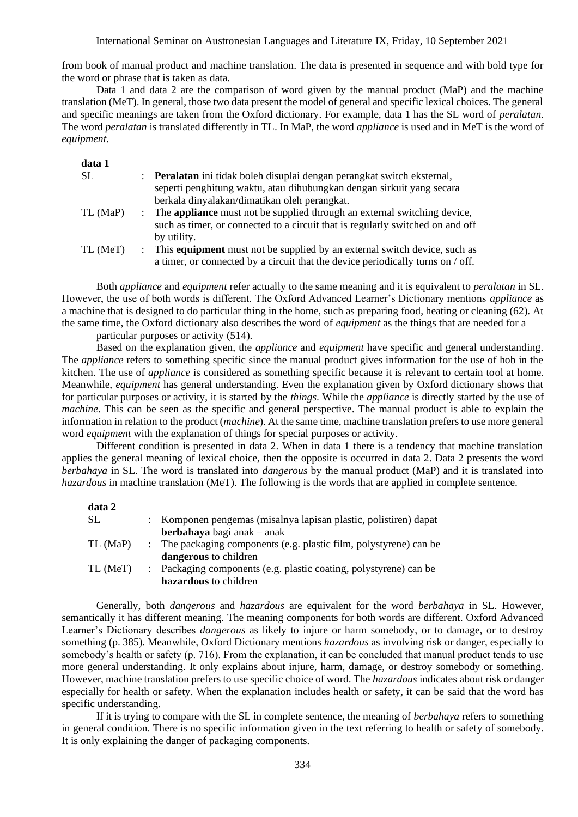International Seminar on Austronesian Languages and Literature IX, Friday, 10 September 2021

from book of manual product and machine translation. The data is presented in sequence and with bold type for the word or phrase that is taken as data.

Data 1 and data 2 are the comparison of word given by the manual product (MaP) and the machine translation (MeT). In general, those two data present the model of general and specific lexical choices. The general and specific meanings are taken from the Oxford dictionary. For example, data 1 has the SL word of *peralatan*. The word *peralatan* is translated differently in TL. In MaP, the word *appliance* is used and in MeT is the word of *equipment*.

| data 1    |                                                                                   |
|-----------|-----------------------------------------------------------------------------------|
| <b>SL</b> | : Peralatan ini tidak boleh disuplai dengan perangkat switch eksternal,           |
|           | seperti penghitung waktu, atau dihubungkan dengan sirkuit yang secara             |
|           | berkala dinyalakan/dimatikan oleh perangkat.                                      |
| TL (MaP)  | : The <b>appliance</b> must not be supplied through an external switching device, |
|           | such as timer, or connected to a circuit that is regularly switched on and off    |
|           | by utility.                                                                       |
| TL (MeT)  | : This equipment must not be supplied by an external switch device, such as       |
|           | a timer, or connected by a circuit that the device periodically turns on / off.   |

Both *appliance* and *equipment* refer actually to the same meaning and it is equivalent to *peralatan* in SL. However, the use of both words is different. The Oxford Advanced Learner's Dictionary mentions *appliance* as a machine that is designed to do particular thing in the home, such as preparing food, heating or cleaning (62). At the same time, the Oxford dictionary also describes the word of *equipment* as the things that are needed for a

particular purposes or activity (514).

Based on the explanation given, the *appliance* and *equipment* have specific and general understanding. The *appliance* refers to something specific since the manual product gives information for the use of hob in the kitchen. The use of *appliance* is considered as something specific because it is relevant to certain tool at home. Meanwhile, *equipment* has general understanding. Even the explanation given by Oxford dictionary shows that for particular purposes or activity, it is started by the *things*. While the *appliance* is directly started by the use of *machine*. This can be seen as the specific and general perspective. The manual product is able to explain the information in relation to the product (*machine*). At the same time, machine translation prefers to use more general word *equipment* with the explanation of things for special purposes or activity.

Different condition is presented in data 2. When in data 1 there is a tendency that machine translation applies the general meaning of lexical choice, then the opposite is occurred in data 2. Data 2 presents the word *berbahaya* in SL. The word is translated into *dangerous* by the manual product (MaP) and it is translated into *hazardous* in machine translation (MeT). The following is the words that are applied in complete sentence.

| data 2   |                                                                    |
|----------|--------------------------------------------------------------------|
| SL       | : Komponen pengemas (misalnya lapisan plastic, polistiren) dapat   |
|          | berbahaya bagi anak – anak                                         |
| TL (MaP) | : The packaging components (e.g. plastic film, polystyrene) can be |
|          | dangerous to children                                              |
| TL (MeT) | : Packaging components (e.g. plastic coating, polystyrene) can be  |
|          | hazardous to children                                              |

Generally, both *dangerous* and *hazardous* are equivalent for the word *berbahaya* in SL. However, semantically it has different meaning. The meaning components for both words are different. Oxford Advanced Learner's Dictionary describes *dangerous* as likely to injure or harm somebody, or to damage, or to destroy something (p. 385). Meanwhile, Oxford Dictionary mentions *hazardous* as involving risk or danger, especially to somebody's health or safety (p. 716). From the explanation, it can be concluded that manual product tends to use more general understanding. It only explains about injure, harm, damage, or destroy somebody or something. However, machine translation prefers to use specific choice of word. The *hazardous* indicates about risk or danger especially for health or safety. When the explanation includes health or safety, it can be said that the word has specific understanding.

If it is trying to compare with the SL in complete sentence, the meaning of *berbahaya* refers to something in general condition. There is no specific information given in the text referring to health or safety of somebody. It is only explaining the danger of packaging components.